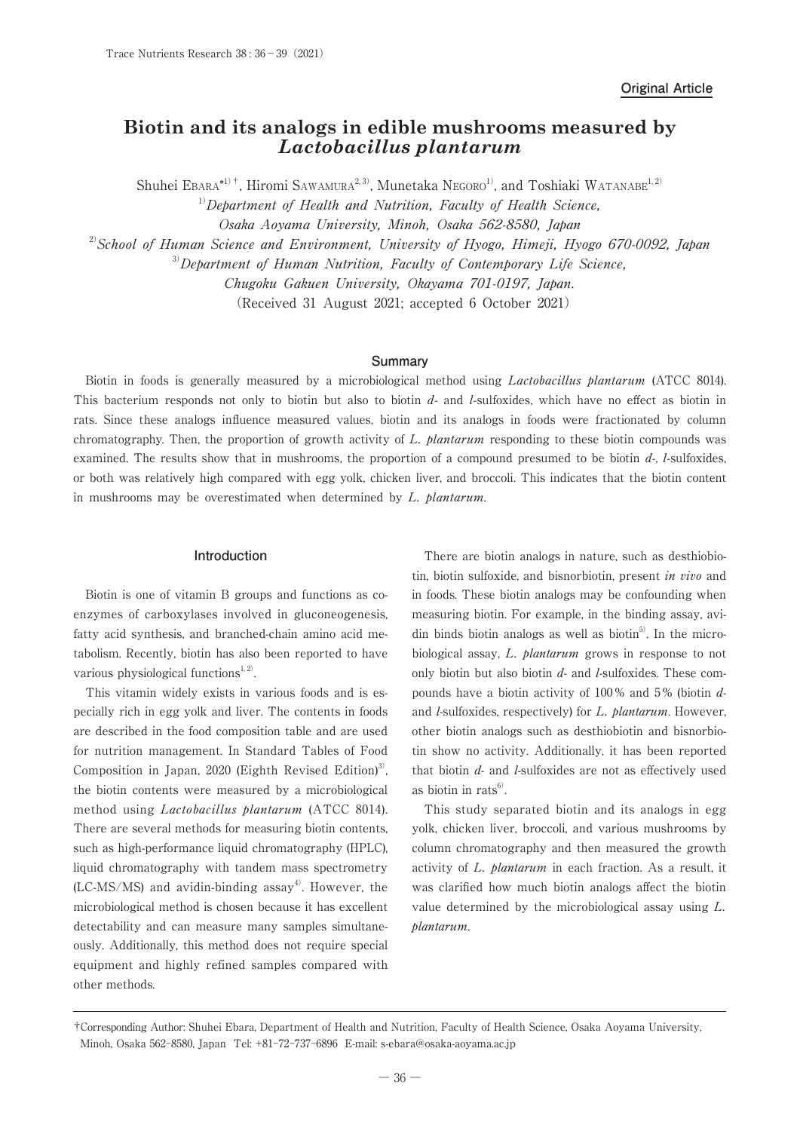# **Biotin and its analogs in edible mushrooms measured by** *Lactobacillus plantarum*

Shuhei Ebara<sup>\*1)†</sup>, Hiromi Sawamura<sup>2,3)</sup>, Munetaka Negoro<sup>1</sup>, and Toshiaki Watanabe<sup>1,2)</sup>  $1)$ Department of Health and Nutrition, Faculty of Health Science, Osaka Aoyama University, Minoh, Osaka 562-8580, Japan  $^{2)}$ School of Human Science and Environment, University of Hyogo, Himeji, Hyogo 670-0092, Japan  $3)$ Department of Human Nutrition, Faculty of Contemporary Life Science,

Chugoku Gakuen University, Okayama 701-0197, Japan.

(Received 31 August 2021; accepted 6 October 2021)

#### **Summary**

Biotin in foods is generally measured by a microbiological method using *Lactobacillus plantarum* (ATCC 8014). This bacterium responds not only to biotin but also to biotin  $d$ - and  $l$ -sulfoxides, which have no effect as biotin in rats. Since these analogs influence measured values, biotin and its analogs in foods were fractionated by column chromatography. Then, the proportion of growth activity of L. plantarum responding to these biotin compounds was examined. The results show that in mushrooms, the proportion of a compound presumed to be biotin  $d<sub>l</sub>$ , l-sulfoxides, or both was relatively high compared with egg yolk, chicken liver, and broccoli. This indicates that the biotin content in mushrooms may be overestimated when determined by L. plantarum.

## **Introduction**

Biotin is one of vitamin B groups and functions as coenzymes of carboxylases involved in gluconeogenesis, fatty acid synthesis, and branched-chain amino acid metabolism. Recently, biotin has also been reported to have various physiological functions $1, 2$ .

This vitamin widely exists in various foods and is especially rich in egg yolk and liver. The contents in foods are described in the food composition table and are used for nutrition management. In Standard Tables of Food Composition in Japan, 2020 (Eighth Revised Edition)<sup>3</sup>, the biotin contents were measured by a microbiological method using Lactobacillus plantarum (ATCC 8014). There are several methods for measuring biotin contents, such as high-performance liquid chromatography (HPLC), liquid chromatography with tandem mass spectrometry  $(LC-MS/MS)$  and avidin-binding assay<sup>4)</sup>. However, the microbiological method is chosen because it has excellent detectability and can measure many samples simultaneously. Additionally, this method does not require special equipment and highly refined samples compared with other methods.

There are biotin analogs in nature, such as desthiobiotin, biotin sulfoxide, and bisnorbiotin, present in vivo and in foods. These biotin analogs may be confounding when measuring biotin. For example, in the binding assay, avidin binds biotin analogs as well as biotin<sup>5)</sup>. In the microbiological assay, L. *plantarum* grows in response to not only biotin but also biotin  $d$ - and  $l$ -sulfoxides. These compounds have a biotin activity of 100 % and 5 % (biotin dand *l*-sulfoxides, respectively) for *L. plantarum*. However, other biotin analogs such as desthiobiotin and bisnorbiotin show no activity. Additionally, it has been reported that biotin  $d$ - and  $l$ -sulfoxides are not as effectively used as biotin in rats $^{6)}$ .

This study separated biotin and its analogs in egg yolk, chicken liver, broccoli, and various mushrooms by column chromatography and then measured the growth activity of L. plantarum in each fraction. As a result, it was clarified how much biotin analogs affect the biotin value determined by the microbiological assay using L. plantarum.

<sup>†</sup>Corresponding Author: Shuhei Ebara, Department of Health and Nutrition, Faculty of Health Science, Osaka Aoyama University, Minoh, Osaka 562-8580, Japan Tel: +81-72-737-6896 E-mail: s-ebara@osaka-aoyama.ac.jp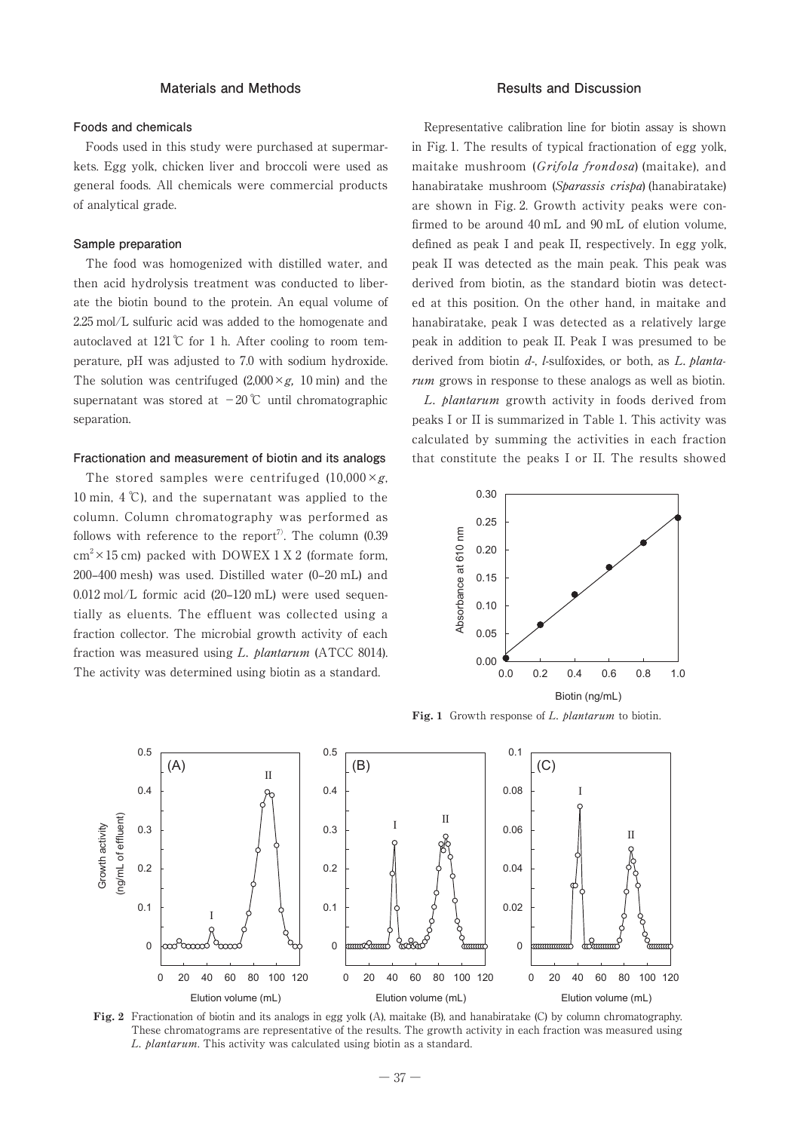## **Materials and Methods**

#### **Foods and chemicals**

Foods used in this study were purchased at supermarkets. Egg yolk, chicken liver and broccoli were used as general foods. All chemicals were commercial products of analytical grade.

### **Sample preparation**

The food was homogenized with distilled water, and then acid hydrolysis treatment was conducted to liberate the biotin bound to the protein. An equal volume of 2.25 mol/L sulfuric acid was added to the homogenate and autoclaved at  $121^{\circ}$  for 1 h. After cooling to room temperature, pH was adjusted to 7.0 with sodium hydroxide. The solution was centrifuged  $(2,000 \times g, 10 \text{ min})$  and the supernatant was stored at −20 ℃ until chromatographic separation.

#### **Fractionation and measurement of biotin and its analogs**

The stored samples were centrifuged  $(10,000 \times g,$ 10 min, 4 ℃), and the supernatant was applied to the column. Column chromatography was performed as follows with reference to the report<sup>7)</sup>. The column  $(0.39)$  $\text{cm}^2 \times 15 \text{ cm}$ ) packed with DOWEX 1 X 2 (formate form, 200–400 mesh) was used. Distilled water (0–20 mL) and 0.012 mol/L formic acid (20–120 mL) were used sequentially as eluents. The effluent was collected using a fraction collector. The microbial growth activity of each fraction was measured using L. plantarum (ATCC 8014). The activity was determined using biotin as a standard.

#### **Results and Discussion**

Representative calibration line for biotin assay is shown in Fig. 1. The results of typical fractionation of egg yolk, maitake mushroom (Grifola frondosa) (maitake), and hanabiratake mushroom (Sparassis crispa) (hanabiratake) are shown in Fig. 2. Growth activity peaks were confirmed to be around 40 mL and 90 mL of elution volume, defined as peak I and peak II, respectively. In egg yolk, peak II was detected as the main peak. This peak was derived from biotin, as the standard biotin was detected at this position. On the other hand, in maitake and hanabiratake, peak I was detected as a relatively large peak in addition to peak II. Peak I was presumed to be derived from biotin  $d$ -, *l*-sulfoxides, or both, as *L*, *planta*rum grows in response to these analogs as well as biotin.

L. plantarum growth activity in foods derived from peaks I or II is summarized in Table 1. This activity was calculated by summing the activities in each fraction that constitute the peaks I or II. The results showed



Fig. 1 Growth response of L. *blantarum* to biotin.



**Fig. 2** Fractionation of biotin and its analogs in egg yolk (A), maitake (B), and hanabiratake (C) by column chromatography. These chromatograms are representative of the results. The growth activity in each fraction was measured using L. plantarum. This activity was calculated using biotin as a standard.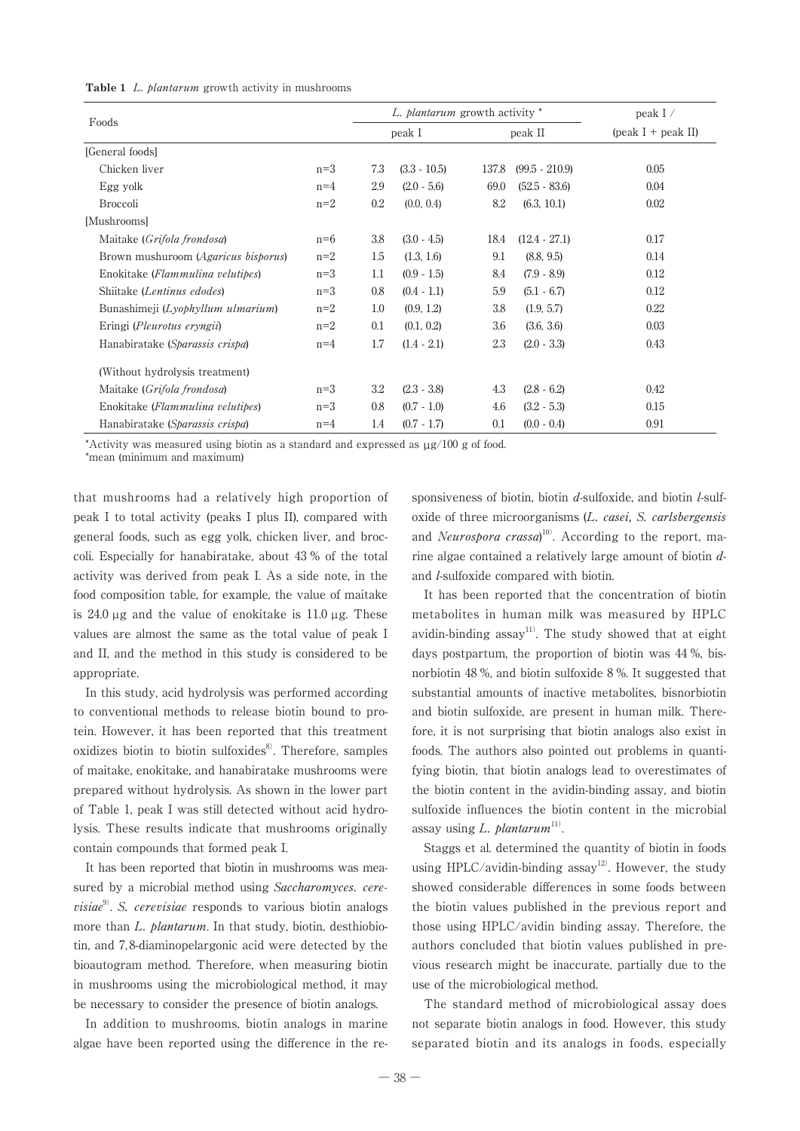|                                           |       | L. <i>plantarum</i> growth activity * |                |         |                  | peak $I \, / \,$                              |
|-------------------------------------------|-------|---------------------------------------|----------------|---------|------------------|-----------------------------------------------|
| Foods                                     |       | peak I                                |                | peak II |                  | $\left(\text{peak I} + \text{peak II}\right)$ |
| [General foods]                           |       |                                       |                |         |                  |                                               |
| Chicken liver                             | $n=3$ | 7.3                                   | $(3.3 - 10.5)$ | 137.8   | $(99.5 - 210.9)$ | 0.05                                          |
| Egg yolk                                  | $n=4$ | 2.9                                   | $(2.0 - 5.6)$  | 69.0    | $(52.5 - 83.6)$  | 0.04                                          |
| <b>Broccoli</b>                           | $n=2$ | 0.2                                   | (0.0, 0.4)     | 8.2     | (6.3, 10.1)      | 0.02                                          |
| [Mushrooms]                               |       |                                       |                |         |                  |                                               |
| Maitake (Grifola frondosa)                | $n=6$ | 3.8                                   | $(3.0 - 4.5)$  | 18.4    | $(12.4 - 27.1)$  | 0.17                                          |
| Brown mushuroom (Agaricus bisporus)       | $n=2$ | 1.5                                   | (1.3, 1.6)     | 9.1     | (8.8, 9.5)       | 0.14                                          |
| Enokitake ( <i>Flammulina velutipes</i> ) | $n=3$ | $1.1\,$                               | $(0.9 - 1.5)$  | 8.4     | $(7.9 - 8.9)$    | 0.12                                          |
| Shiitake (Lentinus edodes)                | $n=3$ | $0.8\,$                               | $(0.4 - 1.1)$  | 5.9     | $(5.1 - 6.7)$    | 0.12                                          |
| Bunashimeji (Lyophyllum ulmarium)         | $n=2$ | $1.0\,$                               | (0.9, 1.2)     | 3.8     | (1.9, 5.7)       | 0.22                                          |
| Eringi ( <i>Pleurotus eryngii</i> )       | $n=2$ | $0.1\,$                               | (0.1, 0.2)     | 3.6     | (3.6, 3.6)       | 0.03                                          |
| Hanabiratake (Sparassis crispa)           | $n=4$ | 1.7                                   | $(1.4 - 2.1)$  | 2.3     | $(2.0 - 3.3)$    | 0.43                                          |
| (Without hydrolysis treatment)            |       |                                       |                |         |                  |                                               |
| Maitake (Grifola frondosa)                | $n=3$ | 3.2                                   | $(2.3 - 3.8)$  | 4.3     | $(2.8 - 6.2)$    | 0.42                                          |
| Enokitake ( <i>Flammulina velutipes</i> ) | $n=3$ | 0.8                                   | $(0.7 - 1.0)$  | 4.6     | $(3.2 - 5.3)$    | 0.15                                          |
| Hanabiratake (Sparassis crispa)           | $n=4$ | 1.4                                   | $(0.7 - 1.7)$  | 0.1     | $(0.0 - 0.4)$    | 0.91                                          |

\*Activity was measured using biotin as a standard and expressed as µg/100 g of food.

\*mean (minimum and maximum)

that mushrooms had a relatively high proportion of peak I to total activity (peaks I plus II), compared with general foods, such as egg yolk, chicken liver, and broccoli. Especially for hanabiratake, about 43 % of the total activity was derived from peak I. As a side note, in the food composition table, for example, the value of maitake is 24.0 µg and the value of enokitake is 11.0 µg. These values are almost the same as the total value of peak I and II, and the method in this study is considered to be appropriate.

In this study, acid hydrolysis was performed according to conventional methods to release biotin bound to protein. However, it has been reported that this treatment oxidizes biotin to biotin sulfoxides $8$ . Therefore, samples of maitake, enokitake, and hanabiratake mushrooms were prepared without hydrolysis. As shown in the lower part of Table 1, peak I was still detected without acid hydrolysis. These results indicate that mushrooms originally contain compounds that formed peak I.

It has been reported that biotin in mushrooms was measured by a microbial method using Saccharomyces. cere*visiae*<sup>9</sup>. S. *cerevisiae* responds to various biotin analogs more than L. plantarum. In that study, biotin, desthiobiotin, and 7, 8-diaminopelargonic acid were detected by the bioautogram method. Therefore, when measuring biotin in mushrooms using the microbiological method, it may be necessary to consider the presence of biotin analogs.

In addition to mushrooms, biotin analogs in marine algae have been reported using the difference in the re-

sponsiveness of biotin, biotin  $d$ -sulfoxide, and biotin  $l$ -sulfoxide of three microorganisms (L. casei, S. carlsbergensis and *Neurospora crassa*)<sup>10</sup>. According to the report, marine algae contained a relatively large amount of biotin dand l-sulfoxide compared with biotin.

It has been reported that the concentration of biotin metabolites in human milk was measured by HPLC avidin-binding assay<sup>11)</sup>. The study showed that at eight days postpartum, the proportion of biotin was 44 %, bisnorbiotin 48 %, and biotin sulfoxide 8 %. It suggested that substantial amounts of inactive metabolites, bisnorbiotin and biotin sulfoxide, are present in human milk. Therefore, it is not surprising that biotin analogs also exist in foods. The authors also pointed out problems in quantifying biotin, that biotin analogs lead to overestimates of the biotin content in the avidin-binding assay, and biotin sulfoxide influences the biotin content in the microbial assay using L. plantarum<sup>11)</sup>.

Staggs et al. determined the quantity of biotin in foods using HPLC/avidin-binding  $assay^{12}$ . However, the study showed considerable differences in some foods between the biotin values published in the previous report and those using HPLC/avidin binding assay. Therefore, the authors concluded that biotin values published in previous research might be inaccurate, partially due to the use of the microbiological method.

The standard method of microbiological assay does not separate biotin analogs in food. However, this study separated biotin and its analogs in foods, especially